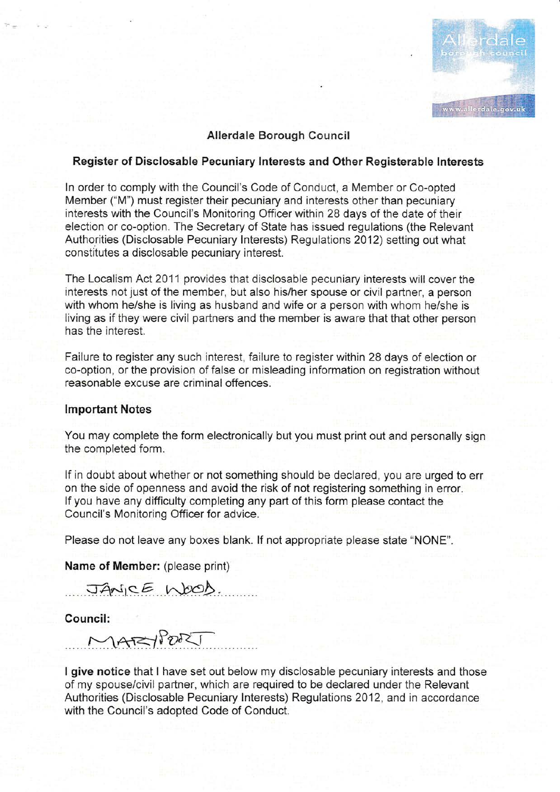

# Allerdale Borough Council

## Register of Disclosable Pecuniary lnterests and Other Registerable lnterests

In order to comply with the Council's Code of Conduct, a Member or Co-opted Mernber ("M") must register their pecuniary and interests other than pecuniary interests with the Council's Monitoring Officer within 28 days of the date of their election or co-option. The Secretary of State has issued regulations (the Relevant Authorities (Disclosable Pecuniary lnterests) Regulations 2012) setting out what constitutes a disclosable pecuniary interest.

The Localism Act 2011 provides that disclosabie pecuniary interests will cover the interests not just of the member, but also his/her spouse or civil partner, a person with whom he/she is living as husband and wife or a person with whom he/she is living as if they were civil partners and the member is aware that that other person has the interest.

Failure to register any such interest, failure to register within 28 days of election or co-option, or the provision of false or misleading information on registration without reasonable excuse are criminal offences.

## lmportant Notes

You may complete the form electronically but you must print out and personally sign the completed form.

lf in doubt about whether or not something should be declared, you are urged to err on the side of openness and avoid the risk of not registering something in error. lf you have any difficulty completing any part of this form please contact the Council's Monitoring Officer for advice.

Please do not leave any boxes blank. If not appropriate please state "NONE".

Name of Member: (please print)

JANICE WOOD.

Council:

MARYPORT

I give notice that I have set out below my disclosable pecuniary interests and those of my spouse/civil partner, which are required to be declared under the Relevant Authorities (Disclosable Pecuniary lnterests) Regulations 2012, and in accordance with the Council's adopted Code of Conduct.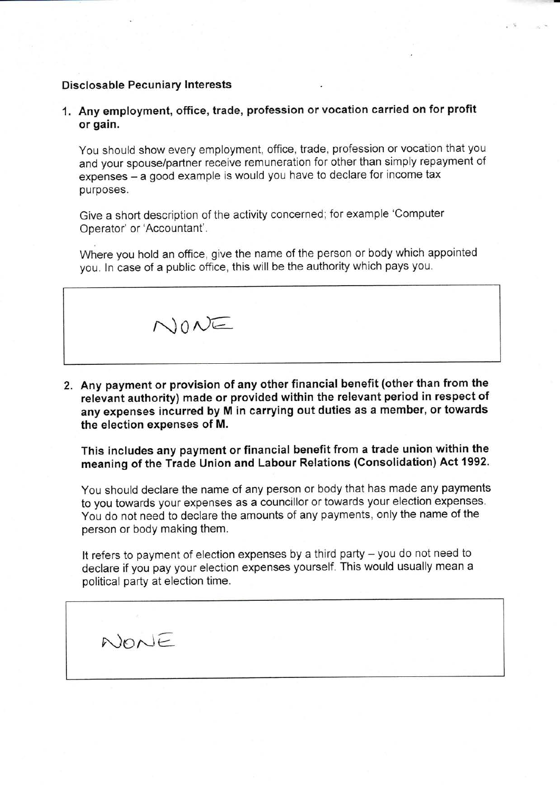## Disclosable Pecuniary Interests

 $N$ ONE

1. Any employment, office, trade, profession orvocation carried on for profit or gain.

You should show every employment, office, trade, profession or vocation that you and your spouse/partner receive remuneration for other than simply repayment of expenses - a good example is would you have to declare for income tax purposes.

Give a short description of the activity concerned; for example 'Computer Operator' or'Accountant'.

Where you hold an office, give the name of the person or body which appointed you. ln case of a public office, this will be the authority which pays you.

 $N$ ONE

Z. Any payment or provision of any other financial benefit (other than from the relevant authority) made or provided within the relevant period in respect of any expenses incurred by M in carrying out duties as a member, or towards the election expenses of M.

This includes any payment or financial benefit from a trade union within the meaning of the Trade Union and Labour Relations (Consolidation) Act 1992.

You should declare the name of any person or body that has made any payments to you towards your expenses as a councillor or towards your election expenses. You do not need to declare the amounts of any payments, only the name of the person or body making them.

It refers to payment of election expenses by a third party - you do not need to declare if you pay your election expenses yourself. This would usually mean a political party at election time.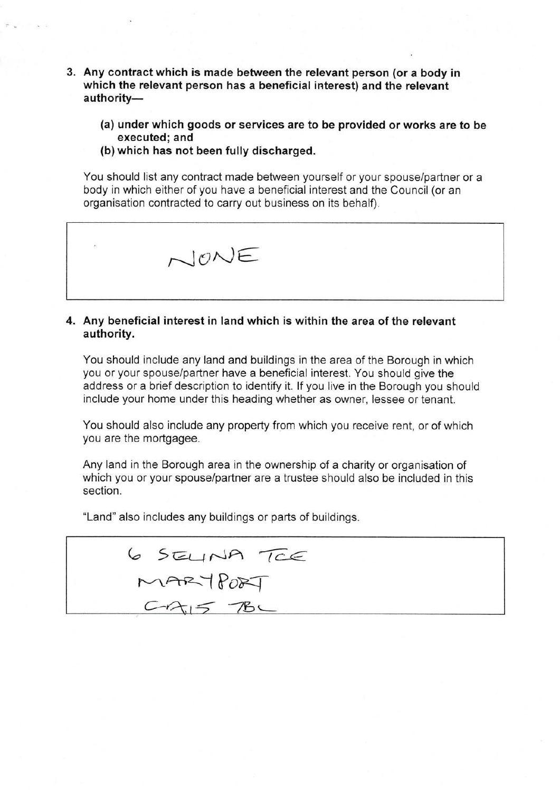- 3. Any contract which is made between the relevant person (or a body in which the relevant person has a beneficial interest) and the relevant authority-
	- (a) under which goods or services are to be provided or works are to be executed; and
	- (b) which has not been fully discharged.

You should list any contract made between yourself or your spouse/partner or a body in which either of you have a beneficial interest and the Council (or an organisation contracted to carry out business on its behalf).



## 4. Any beneficial interest in land which is within the area of the relevant authority.

You should include any land and buildings in the area of the Borough in which you or your spouse/partner have a beneficial interest. You should give the address or a brief description to identify it. lf you live in the Borough you should include your home under this heading whether as owner, lessee or tenant.

You should also include any property from which you receive rent, or of which you are the mortgagee.

Any land in the Borough area in the ownership of a charity or organisation of which you or your spouse/partner are a trustee should also be included in this section.

"Land" also includes any buildings or parts of buildings.

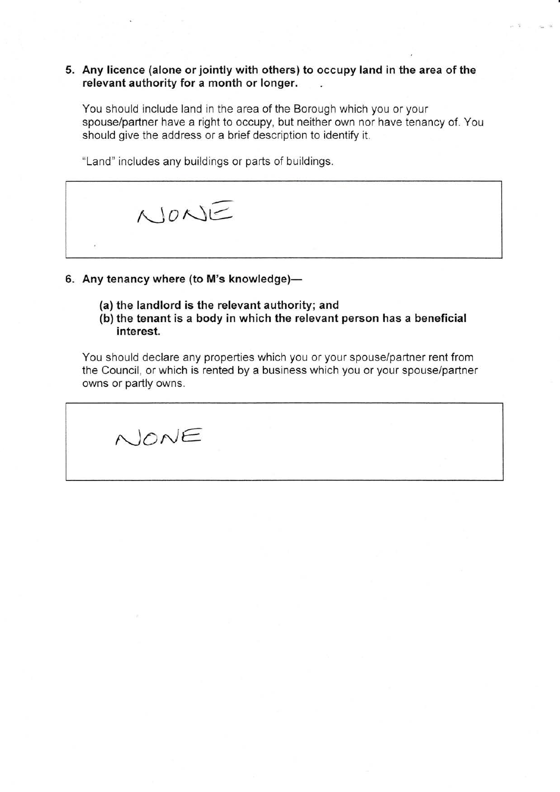## 5. Any licence (alone or jointly with others) to occupy land in the area of the relevant authority for a month or longer

You should include land in the area of the Borough which you or your spouse/partner have a right to occupy, but neither own nor have tenancy of. You should give the address or a brief description to identify it.

"Land" includes any buildings or parts of buiidings.



- 6. Any tenancy where (to M's knowledge)-
	- (a) the landlord is the relevant authority; and
	- (b) the tenant is a body in which the relevant person has a beneficial interest.

You should declare any properties which you or your spouse/partner rent from the Council, or which is rented by a business which you or your spouse/partner owns or partly owns.

 $\land$ ONE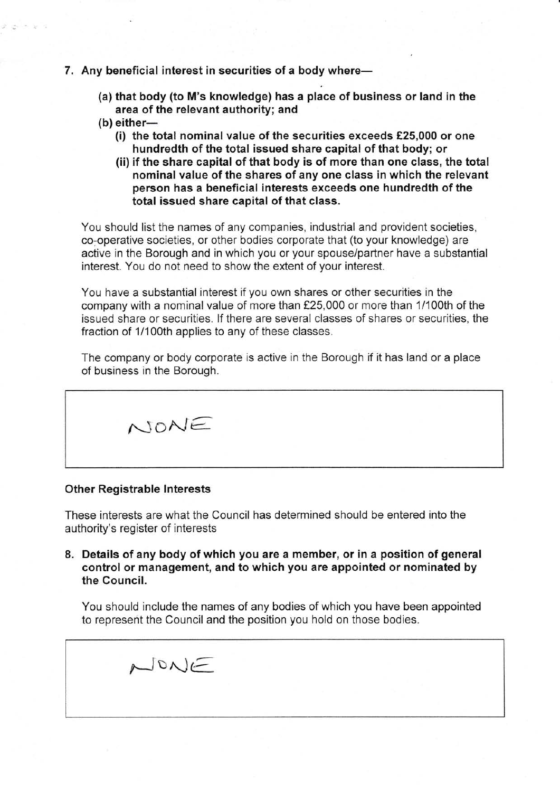#### 7. Any beneficial interest in securities of a body where-

- (a) that body (to M's knowledge) has a place of business or land in the area of the relevant authority; and
- $(b)$  either-
	- (i) the total nominal value of the securities exceeds  $£25,000$  or one hundredth of the total issued share capital of that body; or
	- (ii) if the share capital of that body is of more than one class, the total nominal value of the shares of any one class in which the relevant person has a beneficial interests exceeds one hundredth of the total issued share capital of that class.

You should list the names of any companies, industrial and provident societies, co-operative societies, or other bodies corporate that (to your knowledge) are active in the Borough and in which you or your spouse/partner have a substantial interest. You do not need to show the extent of your interest.

You have a substantial interest if you own shares or other securities in the company with a nominal value of more than £25,000 or more than 1/100th of the issued share or securities. lf there are several classes of shares or securities, the fraction of 1/100th applies to any of these classes.

The company or body corporate is active in the Borough if it has land or a place of business in the Borough.

 $N$ ONE

#### Other Registrable lnterests

These interests are what the Council has determined should be entered into the authority's register of interests

8. Details of any body of which you are a member, or in a position of general control or management, and to which you are appointed or nominated by the Council.

You should include the names of any bodies of which you have been appointed to represerit the Council and the position you hold on those bodies.